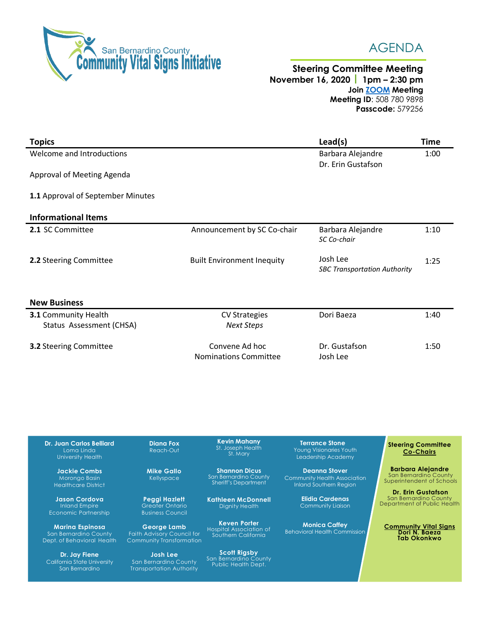

San Bernardino

Transportation Authority



## **Steering Committee Meeting November 16, 2020 1pm – 2:30 pm Join [ZOOM](https://zoom.us/j/5087809898?pwd=TVM1RmpETjgzeGsxK3NDRk8wQUR4Zz09) Meeting Meeting ID**: 508 780 9898 **Passcode:** 579256

| <b>Topics</b>                     |                                   | Lead(s)                             | <b>Time</b> |
|-----------------------------------|-----------------------------------|-------------------------------------|-------------|
| Welcome and Introductions         |                                   | Barbara Alejandre                   | 1:00        |
|                                   |                                   | Dr. Erin Gustafson                  |             |
| Approval of Meeting Agenda        |                                   |                                     |             |
|                                   |                                   |                                     |             |
| 1.1 Approval of September Minutes |                                   |                                     |             |
| <b>Informational Items</b>        |                                   |                                     |             |
| 2.1 SC Committee                  | Announcement by SC Co-chair       | Barbara Alejandre                   | 1:10        |
|                                   |                                   | SC Co-chair                         |             |
|                                   |                                   | Josh Lee                            |             |
| 2.2 Steering Committee            | <b>Built Environment Inequity</b> | <b>SBC Transportation Authority</b> | 1:25        |
|                                   |                                   |                                     |             |
|                                   |                                   |                                     |             |
| <b>New Business</b>               |                                   |                                     |             |
| <b>3.1 Community Health</b>       | <b>CV Strategies</b>              | Dori Baeza                          | 1:40        |
| Status Assessment (CHSA)          | <b>Next Steps</b>                 |                                     |             |
|                                   | Convene Ad hoc                    | Dr. Gustafson                       | 1:50        |
| 3.2 Steering Committee            | <b>Nominations Committee</b>      | Josh Lee                            |             |
|                                   |                                   |                                     |             |
|                                   |                                   |                                     |             |

**Steering Committee Co-Chairs Barbara Alejandre** San Bernardino County Superintendent of Schools **Dr. Erin Gustafson** San Bernardino County Department of Public Health **Community Vital Signs Dori N. Baeza Tab Okonkwo Dr. Juan Carlos Belliard** University Health **Jackie Combs** Morongo Basin Healthcare District **Jason Cordova** Inland Empire Economic Partnership **Marina Espinosa** San Bernardino County Dept. of Behavioral Health **Dr. Jay Fiene** California State University **Diana Fox** Reach-Out **Mike Gallo** Kellyspace **Peggi Hazlett** Greater Ontario Business Council **George Lamb** Faith Advisory Council for Community Transformation **Josh Lee** San Bernardino County **Kevin Mahany** St. Joseph Health St. Mary **Shannon Dicus** San Bernardino County Sheriff's Department **Kathleen McDonnell** Dignity Health **Keven Porter** Hospital Association of Southern California **Scott Rigsby** San Bernardino County Public Health Dept. **Terrance Stone** Young Visionaries Youth Leadership Academy **Deanna Stover** Community Health Association Inland Southern Region **Elidia Cardenas** Community Liaison **Monica Caffey** Behavioral Health Commission